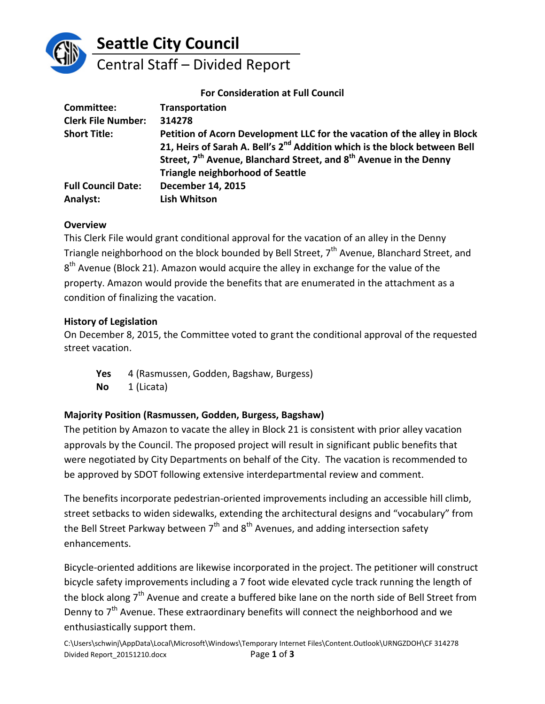

## **Seattle City Council**

# Central Staff – Divided Report

#### **For Consideration at Full Council**

| <b>Committee:</b>         | <b>Transportation</b>                                                                     |
|---------------------------|-------------------------------------------------------------------------------------------|
| <b>Clerk File Number:</b> | 314278                                                                                    |
| <b>Short Title:</b>       | Petition of Acorn Development LLC for the vacation of the alley in Block                  |
|                           | 21, Heirs of Sarah A. Bell's 2 <sup>nd</sup> Addition which is the block between Bell     |
|                           | Street, 7 <sup>th</sup> Avenue, Blanchard Street, and 8 <sup>th</sup> Avenue in the Denny |
|                           | <b>Triangle neighborhood of Seattle</b>                                                   |
| <b>Full Council Date:</b> | <b>December 14, 2015</b>                                                                  |
| Analyst:                  | <b>Lish Whitson</b>                                                                       |

#### **Overview**

This Clerk File would grant conditional approval for the vacation of an alley in the Denny Triangle neighborhood on the block bounded by Bell Street,  $7<sup>th</sup>$  Avenue, Blanchard Street, and  $8<sup>th</sup>$  Avenue (Block 21). Amazon would acquire the alley in exchange for the value of the property. Amazon would provide the benefits that are enumerated in the attachment as a condition of finalizing the vacation.

#### **History of Legislation**

On December 8, 2015, the Committee voted to grant the conditional approval of the requested street vacation.

Yes 4 (Rasmussen, Godden, Bagshaw, Burgess) **No** 1 (Licata)

### **Majority Position (Rasmussen, Godden, Burgess, Bagshaw)**

The petition by Amazon to vacate the alley in Block 21 is consistent with prior alley vacation approvals by the Council. The proposed project will result in significant public benefits that were negotiated by City Departments on behalf of the City. The vacation is recommended to be approved by SDOT following extensive interdepartmental review and comment.

The benefits incorporate pedestrian-oriented improvements including an accessible hill climb, street setbacks to widen sidewalks, extending the architectural designs and "vocabulary" from the Bell Street Parkway between  $7<sup>th</sup>$  and  $8<sup>th</sup>$  Avenues, and adding intersection safety enhancements.

Bicycle-oriented additions are likewise incorporated in the project. The petitioner will construct bicycle safety improvements including a 7 foot wide elevated cycle track running the length of the block along 7<sup>th</sup> Avenue and create a buffered bike lane on the north side of Bell Street from Denny to 7<sup>th</sup> Avenue. These extraordinary benefits will connect the neighborhood and we enthusiastically support them.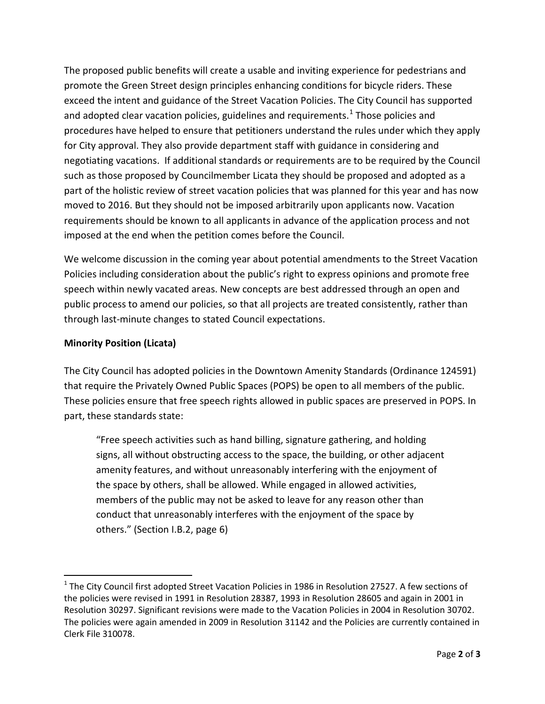The proposed public benefits will create a usable and inviting experience for pedestrians and promote the Green Street design principles enhancing conditions for bicycle riders. These exceed the intent and guidance of the Street Vacation Policies. The City Council has supported and adopted clear vacation policies, guidelines and requirements.<sup>[1](#page-1-0)</sup> Those policies and procedures have helped to ensure that petitioners understand the rules under which they apply for City approval. They also provide department staff with guidance in considering and negotiating vacations. If additional standards or requirements are to be required by the Council such as those proposed by Councilmember Licata they should be proposed and adopted as a part of the holistic review of street vacation policies that was planned for this year and has now moved to 2016. But they should not be imposed arbitrarily upon applicants now. Vacation requirements should be known to all applicants in advance of the application process and not imposed at the end when the petition comes before the Council.

We welcome discussion in the coming year about potential amendments to the Street Vacation Policies including consideration about the public's right to express opinions and promote free speech within newly vacated areas. New concepts are best addressed through an open and public process to amend our policies, so that all projects are treated consistently, rather than through last-minute changes to stated Council expectations.

#### **Minority Position (Licata)**

The City Council has adopted policies in the Downtown Amenity Standards (Ordinance 124591) that require the Privately Owned Public Spaces (POPS) be open to all members of the public. These policies ensure that free speech rights allowed in public spaces are preserved in POPS. In part, these standards state:

"Free speech activities such as hand billing, signature gathering, and holding signs, all without obstructing access to the space, the building, or other adjacent amenity features, and without unreasonably interfering with the enjoyment of the space by others, shall be allowed. While engaged in allowed activities, members of the public may not be asked to leave for any reason other than conduct that unreasonably interferes with the enjoyment of the space by others." (Section I.B.2, page 6)

<span id="page-1-0"></span> $1$  The City Council first adopted Street Vacation Policies in 1986 in Resolution 27527. A few sections of the policies were revised in 1991 in Resolution 28387, 1993 in Resolution 28605 and again in 2001 in Resolution 30297. Significant revisions were made to the Vacation Policies in 2004 in Resolution 30702. The policies were again amended in 2009 in Resolution 31142 and the Policies are currently contained in Clerk File 310078.